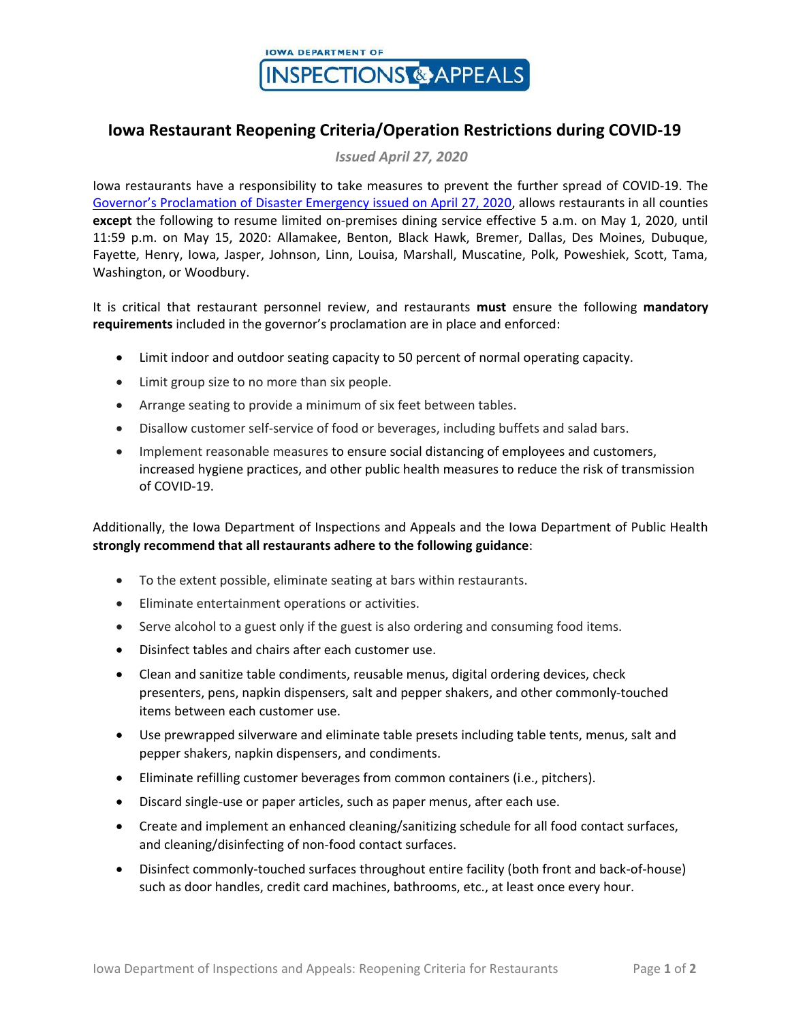

## **Iowa Restaurant Reopening Criteria/Operation Restrictions during COVID-19**

*Issued April 27, 2020*

Iowa restaurants have a responsibility to take measures to prevent the further spread of COVID-19. The [Governor's Proclamation of Disaster Emergency issued on April 27, 2020](https://governor.iowa.gov/press-release/gov-reynolds-signs-new-proclamation-continuing-the-state-public-health-emergency-0), allows restaurants in all counties **except** the following to resume limited on-premises dining service effective 5 a.m. on May 1, 2020, until 11:59 p.m. on May 15, 2020: Allamakee, Benton, Black Hawk, Bremer, Dallas, Des Moines, Dubuque, Fayette, Henry, Iowa, Jasper, Johnson, Linn, Louisa, Marshall, Muscatine, Polk, Poweshiek, Scott, Tama, Washington, or Woodbury.

It is critical that restaurant personnel review, and restaurants **must** ensure the following **mandatory requirements** included in the governor's proclamation are in place and enforced:

- Limit indoor and outdoor seating capacity to 50 percent of normal operating capacity.
- Limit group size to no more than six people.
- Arrange seating to provide a minimum of six feet between tables.
- Disallow customer self-service of food or beverages, including buffets and salad bars.
- Implement reasonable measures to ensure social distancing of employees and customers, increased hygiene practices, and other public health measures to reduce the risk of transmission of COVID-19.

Additionally, the Iowa Department of Inspections and Appeals and the Iowa Department of Public Health **strongly recommend that all restaurants adhere to the following guidance**:

- To the extent possible, eliminate seating at bars within restaurants.
- Eliminate entertainment operations or activities.
- Serve alcohol to a guest only if the guest is also ordering and consuming food items.
- Disinfect tables and chairs after each customer use.
- Clean and sanitize table condiments, reusable menus, digital ordering devices, check presenters, pens, napkin dispensers, salt and pepper shakers, and other commonly-touched items between each customer use.
- Use prewrapped silverware and eliminate table presets including table tents, menus, salt and pepper shakers, napkin dispensers, and condiments.
- Eliminate refilling customer beverages from common containers (i.e., pitchers).
- Discard single-use or paper articles, such as paper menus, after each use.
- Create and implement an enhanced cleaning/sanitizing schedule for all food contact surfaces, and cleaning/disinfecting of non-food contact surfaces.
- Disinfect commonly-touched surfaces throughout entire facility (both front and back-of-house) such as door handles, credit card machines, bathrooms, etc., at least once every hour.